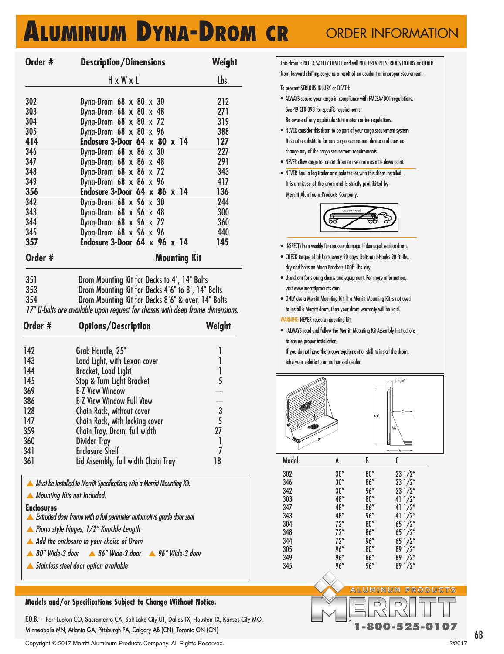## **ALUMINUM DYNA-DROM CR** ORDER INFORMATION

| Order #                                                     | <b>Description/Dimensions</b>                                                                                                        | Weight           |  |  |  |  |
|-------------------------------------------------------------|--------------------------------------------------------------------------------------------------------------------------------------|------------------|--|--|--|--|
|                                                             | HxWxL                                                                                                                                | Lbs.             |  |  |  |  |
| 302                                                         | Dyna-Drom $68 \times 80 \times 30$                                                                                                   | 212              |  |  |  |  |
| 303                                                         | Dyna-Drom $68 \times 80 \times 48$                                                                                                   | 271              |  |  |  |  |
| 304                                                         | Dyna-Drom 68 x 80 x 72                                                                                                               | 319              |  |  |  |  |
| 305                                                         | Dyna-Drom 68 x 80 x 96                                                                                                               | 388              |  |  |  |  |
| 414                                                         | Enclosure 3-Door 64 x 80 x 14                                                                                                        | 127              |  |  |  |  |
| 346                                                         | Dyna-Drom 68 x 86 x 30                                                                                                               | $\overline{227}$ |  |  |  |  |
| 347                                                         | Dyna-Drom $68 \times 86 \times 48$                                                                                                   | 291              |  |  |  |  |
| 348                                                         | Dyna-Drom $68 \times 86 \times 72$                                                                                                   | 343              |  |  |  |  |
| 349                                                         | Dyna-Drom $68 \times 86 \times 96$                                                                                                   | 417              |  |  |  |  |
| 356                                                         | Enclosure 3-Door 64 x 86 x 14                                                                                                        | 136              |  |  |  |  |
| $\overline{342}$<br>343                                     | Dyna-Drom 68 x 96 x 30                                                                                                               | 244<br>300       |  |  |  |  |
| 344                                                         | Dyna-Drom $68 \times 96 \times 48$<br>Dyna-Drom $68 \times 96 \times 72$                                                             | 360              |  |  |  |  |
| 345                                                         | Dyna-Drom $68 \times 96 \times 96$                                                                                                   | 440              |  |  |  |  |
| 357                                                         | Enclosure 3-Door $64 \times 96 \times 14$                                                                                            | 145              |  |  |  |  |
| Order #                                                     | <b>Mounting Kit</b>                                                                                                                  |                  |  |  |  |  |
| 351                                                         | Drom Mounting Kit for Decks to 4', 14" Bolts                                                                                         |                  |  |  |  |  |
|                                                             |                                                                                                                                      |                  |  |  |  |  |
|                                                             |                                                                                                                                      |                  |  |  |  |  |
| 353<br>354                                                  | Drom Mounting Kit for Decks 4'6" to 8', 14" Bolts                                                                                    |                  |  |  |  |  |
|                                                             | Drom Mounting Kit for Decks 8'6" & over, 14" Bolts<br>17" U-bolts are available upon request for chassis with deep frame dimensions. |                  |  |  |  |  |
| Order #                                                     | <b>Options/Description</b>                                                                                                           | Weight           |  |  |  |  |
|                                                             |                                                                                                                                      |                  |  |  |  |  |
| 142                                                         | Grab Handle, 25"                                                                                                                     | 1                |  |  |  |  |
| 143                                                         | Load Light, with Lexan cover                                                                                                         | 1                |  |  |  |  |
|                                                             | <b>Bracket, Load Light</b>                                                                                                           | 1                |  |  |  |  |
|                                                             | Stop & Turn Light Bracket<br><b>E-Z View Window</b>                                                                                  | 5                |  |  |  |  |
|                                                             | <b>E-Z View Window Full View</b>                                                                                                     |                  |  |  |  |  |
|                                                             | Chain Rack, without cover                                                                                                            |                  |  |  |  |  |
|                                                             | Chain Rack, with locking cover                                                                                                       | $\frac{1}{5}$    |  |  |  |  |
| 147                                                         | Chain Tray, Drom, full width                                                                                                         | 27               |  |  |  |  |
|                                                             | Divider Tray                                                                                                                         | 1                |  |  |  |  |
|                                                             | <b>Enclosure Shelf</b>                                                                                                               | 7                |  |  |  |  |
| 144<br>145<br>369<br>386<br>128<br>359<br>360<br>341<br>361 | Lid Assembly, full width Chain Tray                                                                                                  | 18               |  |  |  |  |
|                                                             | A Must be Installed to Merritt Specifications with a Merritt Mounting Kit.                                                           |                  |  |  |  |  |
| A Mounting Kits not Included.                               |                                                                                                                                      |                  |  |  |  |  |
| <b>Enclosures</b>                                           |                                                                                                                                      |                  |  |  |  |  |
|                                                             | Extruded door frame with a full perimeter automotive grade door seal<br>▲ Piano style hinges, $1/2$ " Knuckle Length                 |                  |  |  |  |  |
|                                                             | A Add the enclosure to your choice of Drom                                                                                           |                  |  |  |  |  |
|                                                             | ▲ 80" Wide-3 door A 86" Wide-3 door A 96" Wide-3 door                                                                                |                  |  |  |  |  |

## **Models and/or Specifications Subject to Change Without Notice.**

F.O.B. - Fort Lupton CO, Sacramento CA, Salt Lake City UT, Dallas TX, Houston TX, Kansas City MO, Minneapolis MN, Atlanta GA, Pittsburgh PA, Calgary AB (CN), Toronto ON (CN)

Copyright © 2017 Merritt Aluminum Products Company. All Rights Reserved. 2/2017

| from forward shifting cargo as a result of an accident or improper securement. |                                                                       |             | This drom is NOT A SAFETY DEVICE and will NOT PREVENT SERIOUS INJURY or DEATH |  |
|--------------------------------------------------------------------------------|-----------------------------------------------------------------------|-------------|-------------------------------------------------------------------------------|--|
|                                                                                |                                                                       |             |                                                                               |  |
| To prevent SERIOUS INJURY or DEATH:                                            |                                                                       |             |                                                                               |  |
| • ALWAYS secure your cargo in compliance with FMCSA/DOT regulations.           |                                                                       |             |                                                                               |  |
|                                                                                | See 49 CFR 393 for specific requirements.                             |             |                                                                               |  |
|                                                                                | Be aware of any applicable state motor carrier regulations.           |             |                                                                               |  |
| • NEVER consider this drom to be part of your cargo securement system.         |                                                                       |             |                                                                               |  |
|                                                                                | It is not a substitute for any cargo securement device and does not   |             |                                                                               |  |
|                                                                                | change any of the cargo securement requirements.                      |             |                                                                               |  |
|                                                                                | NEVER allow cargo to contact drom or use drom as a tie down point.    |             |                                                                               |  |
| . NEVER haul a log trailer or a pole trailer with this drom installed.         |                                                                       |             |                                                                               |  |
|                                                                                | It is a misuse of the drom and is strictly prohibited by              |             |                                                                               |  |
|                                                                                | Merritt Aluminum Products Company.                                    |             |                                                                               |  |
|                                                                                |                                                                       |             |                                                                               |  |
|                                                                                |                                                                       |             |                                                                               |  |
|                                                                                |                                                                       |             |                                                                               |  |
|                                                                                |                                                                       |             |                                                                               |  |
| • INSPECT drom weekly for cracks or damage. If damaged, replace drom.          |                                                                       |             |                                                                               |  |
| • CHECK torque of all bolts every 90 days. Bolts on J-Hooks 90 ft.-lbs.        |                                                                       |             |                                                                               |  |
|                                                                                | dry and bolts on Moon Brackets 100ft.-lbs. dry.                       |             |                                                                               |  |
| · Use drom for storing chains and equipment. For more information,             |                                                                       |             |                                                                               |  |
| visit www.merrittproducts.com                                                  |                                                                       |             |                                                                               |  |
| • ONLY use a Merritt Mounting Kit. If a Merritt Mounting Kit is not used       |                                                                       |             |                                                                               |  |
|                                                                                | to install a Merritt drom, then your drom warranty will be void.      |             |                                                                               |  |
| WARNING NEVER reuse a mounting kit.                                            |                                                                       |             |                                                                               |  |
|                                                                                |                                                                       |             |                                                                               |  |
|                                                                                | ALWAYS read and follow the Merritt Mounting Kit Assembly Instructions |             |                                                                               |  |
| to ensure proper installation.                                                 |                                                                       |             |                                                                               |  |
|                                                                                | If you do not have the proper equipment or skill to install the drom, |             |                                                                               |  |
|                                                                                | take your vehicle to an authorized dealer.                            |             |                                                                               |  |
|                                                                                |                                                                       |             |                                                                               |  |
|                                                                                |                                                                       |             | 61/2                                                                          |  |
|                                                                                |                                                                       |             |                                                                               |  |
|                                                                                |                                                                       |             |                                                                               |  |
|                                                                                |                                                                       | 68          |                                                                               |  |
|                                                                                |                                                                       |             |                                                                               |  |
|                                                                                |                                                                       |             | 絫                                                                             |  |
|                                                                                |                                                                       |             |                                                                               |  |
|                                                                                |                                                                       |             | A                                                                             |  |
| Model                                                                          | A                                                                     | B           | $\overline{C}$                                                                |  |
| 302                                                                            | 30''                                                                  | 80''        | 231/2"                                                                        |  |
| 346<br>342                                                                     | 30''                                                                  | 86″         | 231/2"                                                                        |  |
| 303                                                                            | 30''<br>48"                                                           | 96"<br>80'' | 231/2"<br>411/2"                                                              |  |
| 347                                                                            | 48″                                                                   | 86″         | 411/2"                                                                        |  |
| 343                                                                            | 48"                                                                   | 96"         | 411/2"                                                                        |  |
| 304                                                                            | 72"                                                                   | 80''        | 651/2"                                                                        |  |
| 348                                                                            | 72″                                                                   | 86''        | 651/2"                                                                        |  |
| 344<br>305                                                                     | 72"<br>96"                                                            | 96"<br>80'' | 651/2"                                                                        |  |
| 349                                                                            | 96''                                                                  | 86″         | 89 1/2"<br>89 1/2"                                                            |  |
| 345                                                                            | 96"                                                                   | 96"         | 891/2"                                                                        |  |
|                                                                                |                                                                       |             |                                                                               |  |
|                                                                                |                                                                       |             | <b>ALUMINUM PRODU</b>                                                         |  |
|                                                                                |                                                                       |             |                                                                               |  |

## 6B

**1-800-525-0107**